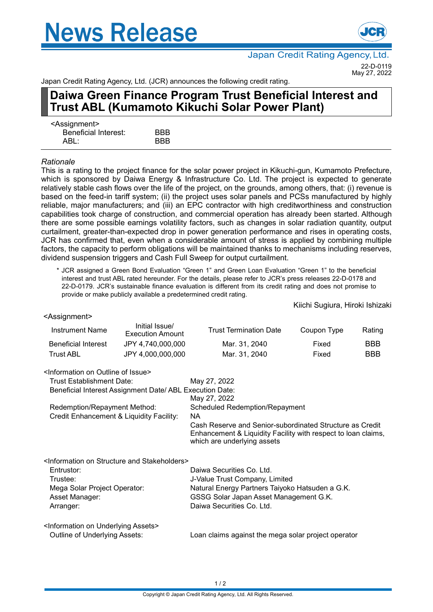# **News Release**



Japan Credit Rating Agency, Ltd. 22-D-0119 May 27, 2022

Japan Credit Rating Agency, Ltd. (JCR) announces the following credit rating.

## **Daiwa Green Finance Program Trust Beneficial Interest and Trust ABL (Kumamoto Kikuchi Solar Power Plant)**

| <assignment></assignment> |            |
|---------------------------|------------|
| Beneficial Interest:      | <b>BBB</b> |
| ABL:                      | <b>BBB</b> |

### *Rationale*

This is a rating to the project finance for the solar power project in Kikuchi-gun, Kumamoto Prefecture, which is sponsored by Daiwa Energy & Infrastructure Co. Ltd. The project is expected to generate relatively stable cash flows over the life of the project, on the grounds, among others, that: (i) revenue is based on the feed-in tariff system; (ii) the project uses solar panels and PCSs manufactured by highly reliable, major manufacturers; and (iii) an EPC contractor with high creditworthiness and construction capabilities took charge of construction, and commercial operation has already been started. Although there are some possible earnings volatility factors, such as changes in solar radiation quantity, output curtailment, greater-than-expected drop in power generation performance and rises in operating costs, JCR has confirmed that, even when a considerable amount of stress is applied by combining multiple factors, the capacity to perform obligations will be maintained thanks to mechanisms including reserves, dividend suspension triggers and Cash Full Sweep for output curtailment.

\* JCR assigned a Green Bond Evaluation "Green 1" and Green Loan Evaluation "Green 1" to the beneficial interest and trust ABL rated hereunder. For the details, please refer to JCR's press releases 22-D-0178 and 22-D-0179. JCR's sustainable finance evaluation is different from its credit rating and does not promise to provide or make publicly available a predetermined credit rating.

Kiichi Sugiura, Hiroki Ishizaki

| <assignment></assignment>                                   |                                                                       |                                                                                                                                                          |             |            |
|-------------------------------------------------------------|-----------------------------------------------------------------------|----------------------------------------------------------------------------------------------------------------------------------------------------------|-------------|------------|
| <b>Instrument Name</b>                                      | Initial Issue/<br><b>Execution Amount</b>                             | <b>Trust Termination Date</b>                                                                                                                            | Coupon Type | Rating     |
| <b>Beneficial Interest</b>                                  | JPY 4,740,000,000                                                     | Mar. 31, 2040                                                                                                                                            | Fixed       | <b>BBB</b> |
| <b>Trust ABL</b>                                            | JPY 4,000,000,000                                                     | Mar. 31, 2040                                                                                                                                            | Fixed       | <b>BBB</b> |
| <information issue="" of="" on="" outline=""></information> |                                                                       |                                                                                                                                                          |             |            |
| Trust Establishment Date:                                   |                                                                       | May 27, 2022                                                                                                                                             |             |            |
|                                                             | Beneficial Interest Assignment Date/ ABL Execution Date:              | May 27, 2022                                                                                                                                             |             |            |
| Redemption/Repayment Method:                                |                                                                       | <b>Scheduled Redemption/Repayment</b>                                                                                                                    |             |            |
| Credit Enhancement & Liquidity Facility:                    |                                                                       | NA.                                                                                                                                                      |             |            |
|                                                             |                                                                       | Cash Reserve and Senior-subordinated Structure as Credit<br>Enhancement & Liquidity Facility with respect to loan claims,<br>which are underlying assets |             |            |
|                                                             | <information and="" on="" stakeholders="" structure=""></information> |                                                                                                                                                          |             |            |
| Entrustor:                                                  |                                                                       | Daiwa Securities Co. Ltd.                                                                                                                                |             |            |
| Trustee:                                                    |                                                                       | J-Value Trust Company, Limited                                                                                                                           |             |            |
| Mega Solar Project Operator:                                |                                                                       | Natural Energy Partners Taiyoko Hatsuden a G.K.                                                                                                          |             |            |
| Asset Manager:                                              |                                                                       | GSSG Solar Japan Asset Management G.K.                                                                                                                   |             |            |
| Arranger:                                                   |                                                                       | Daiwa Securities Co. Ltd.                                                                                                                                |             |            |
| <information assets="" on="" underlying=""></information>   |                                                                       |                                                                                                                                                          |             |            |
| Outline of Underlying Assets:                               |                                                                       | Loan claims against the mega solar project operator                                                                                                      |             |            |